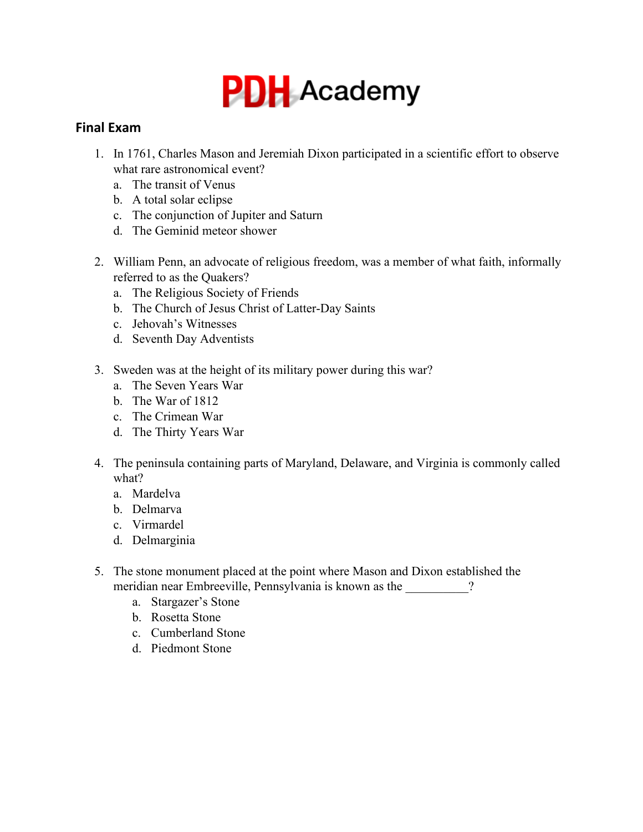

## **Final Exam**

- 1. In 1761, Charles Mason and Jeremiah Dixon participated in a scientific effort to observe what rare astronomical event?
	- a. The transit of Venus
	- b. A total solar eclipse
	- c. The conjunction of Jupiter and Saturn
	- d. The Geminid meteor shower
- 2. William Penn, an advocate of religious freedom, was a member of what faith, informally referred to as the Quakers?
	- a. The Religious Society of Friends
	- b. The Church of Jesus Christ of Latter-Day Saints
	- c. Jehovah's Witnesses
	- d. Seventh Day Adventists
- 3. Sweden was at the height of its military power during this war?
	- a. The Seven Years War
	- b. The War of 1812
	- c. The Crimean War
	- d. The Thirty Years War
- 4. The peninsula containing parts of Maryland, Delaware, and Virginia is commonly called what?
	- a. Mardelva
	- b. Delmarva
	- c. Virmardel
	- d. Delmarginia
- 5. The stone monument placed at the point where Mason and Dixon established the meridian near Embreeville, Pennsylvania is known as the \_\_\_\_\_\_\_\_\_?
	- a. Stargazer's Stone
	- b. Rosetta Stone
	- c. Cumberland Stone
	- d. Piedmont Stone